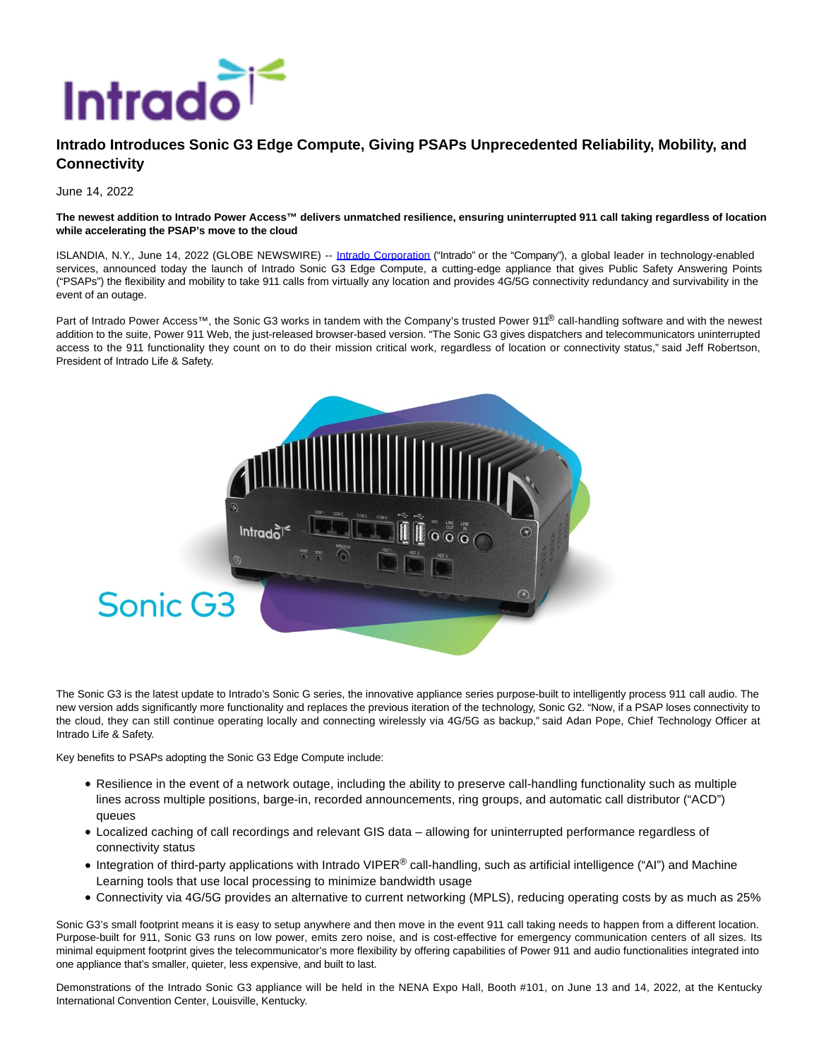

## **Intrado Introduces Sonic G3 Edge Compute, Giving PSAPs Unprecedented Reliability, Mobility, and Connectivity**

June 14, 2022

## **The newest addition to Intrado Power Access™ delivers unmatched resilience, ensuring uninterrupted 911 call taking regardless of location while accelerating the PSAP's move to the cloud**

ISLANDIA, N.Y., June 14, 2022 (GLOBE NEWSWIRE) -- [Intrado Corporation \(](https://www.globenewswire.com/Tracker?data=mSIndWCu36B1BOEKIQzAXoGHQWBbdH4hhOvD7cQDBx92GRylQi-VglKFPVlp2gnyHKLm1H9V-3iJx0bNb7G_6A==)"Intrado" or the "Company"), a global leader in technology-enabled services, announced today the launch of Intrado Sonic G3 Edge Compute, a cutting-edge appliance that gives Public Safety Answering Points ("PSAPs") the flexibility and mobility to take 911 calls from virtually any location and provides 4G/5G connectivity redundancy and survivability in the event of an outage.

Part of Intrado Power Access™, the Sonic G3 works in tandem with the Company's trusted Power 91<sup>®</sup> call-handling software and with the newest addition to the suite, Power 911 Web, the just-released browser-based version. "The Sonic G3 gives dispatchers and telecommunicators uninterrupted access to the 911 functionality they count on to do their mission critical work, regardless of location or connectivity status," said Jeff Robertson, President of Intrado Life & Safety.



The Sonic G3 is the latest update to Intrado's Sonic G series, the innovative appliance series purpose-built to intelligently process 911 call audio. The new version adds significantly more functionality and replaces the previous iteration of the technology, Sonic G2. "Now, if a PSAP loses connectivity to the cloud, they can still continue operating locally and connecting wirelessly via 4G/5G as backup," said Adan Pope, Chief Technology Officer at Intrado Life & Safety.

Key benefits to PSAPs adopting the Sonic G3 Edge Compute include:

- Resilience in the event of a network outage, including the ability to preserve call-handling functionality such as multiple lines across multiple positions, barge-in, recorded announcements, ring groups, and automatic call distributor ("ACD") queues
- Localized caching of call recordings and relevant GIS data allowing for uninterrupted performance regardless of connectivity status
- Integration of third-party applications with Intrado VIPER<sup>®</sup> call-handling, such as artificial intelligence ("AI") and Machine Learning tools that use local processing to minimize bandwidth usage
- Connectivity via 4G/5G provides an alternative to current networking (MPLS), reducing operating costs by as much as 25%

Sonic G3's small footprint means it is easy to setup anywhere and then move in the event 911 call taking needs to happen from a different location. Purpose-built for 911, Sonic G3 runs on low power, emits zero noise, and is cost-effective for emergency communication centers of all sizes. Its minimal equipment footprint gives the telecommunicator's more flexibility by offering capabilities of Power 911 and audio functionalities integrated into one appliance that's smaller, quieter, less expensive, and built to last.

Demonstrations of the Intrado Sonic G3 appliance will be held in the NENA Expo Hall, Booth #101, on June 13 and 14, 2022, at the Kentucky International Convention Center, Louisville, Kentucky.